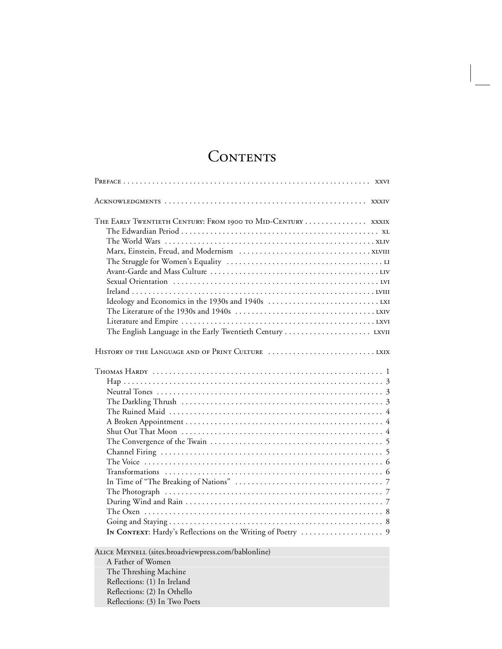## CONTENTS

| THE EARLY TWENTIETH CENTURY: FROM 1900 TO MID-CENTURY  XXXIX<br>The English Language in the Early Twentieth Century  LXVII                                                                       |
|--------------------------------------------------------------------------------------------------------------------------------------------------------------------------------------------------|
|                                                                                                                                                                                                  |
|                                                                                                                                                                                                  |
| ALICE MEYNELL (sites.broadviewpress.com/bablonline)<br>A Father of Women<br>The Threshing Machine<br>Reflections: (1) In Ireland<br>Reflections: (2) In Othello<br>Reflections: (3) In Two Poets |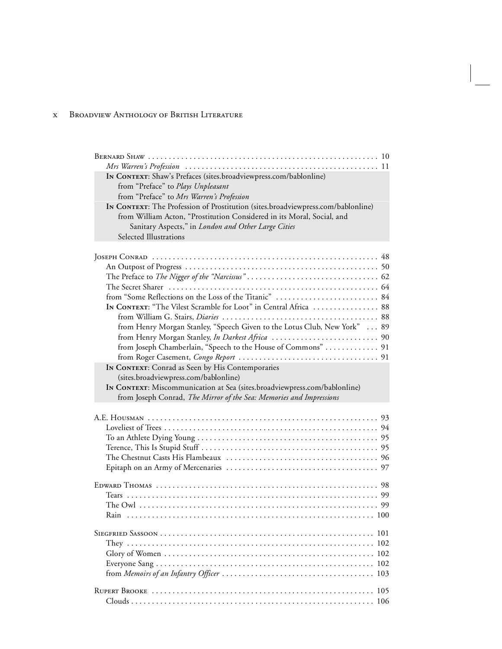| IN CONTEXT: Shaw's Prefaces (sites.broadviewpress.com/bablonline)<br>from "Preface" to Plays Unpleasant |
|---------------------------------------------------------------------------------------------------------|
| from "Preface" to Mrs Warren's Profession                                                               |
| IN CONTEXT: The Profession of Prostitution (sites.broadviewpress.com/bablonline)                        |
| from William Acton, "Prostitution Considered in its Moral, Social, and                                  |
| Sanitary Aspects," in London and Other Large Cities                                                     |
| Selected Illustrations                                                                                  |
|                                                                                                         |
|                                                                                                         |
|                                                                                                         |
|                                                                                                         |
|                                                                                                         |
|                                                                                                         |
| IN CONTEXT: "The Vilest Scramble for Loot" in Central Africa  88                                        |
|                                                                                                         |
| from Henry Morgan Stanley, "Speech Given to the Lotus Club, New York"  89                               |
|                                                                                                         |
| from Joseph Chamberlain, "Speech to the House of Commons"  91                                           |
|                                                                                                         |
| In CONTEXT: Conrad as Seen by His Contemporaries                                                        |
|                                                                                                         |
|                                                                                                         |
| (sites.broadviewpress.com/bablonline)                                                                   |
| IN CONTEXT: Miscommunication at Sea (sites.broadviewpress.com/bablonline)                               |
| from Joseph Conrad, The Mirror of the Sea: Memories and Impressions                                     |
|                                                                                                         |
|                                                                                                         |
|                                                                                                         |
|                                                                                                         |
|                                                                                                         |
|                                                                                                         |
|                                                                                                         |
|                                                                                                         |
|                                                                                                         |
|                                                                                                         |
| Rain                                                                                                    |
|                                                                                                         |
|                                                                                                         |
| 102                                                                                                     |
|                                                                                                         |
| 102                                                                                                     |
| 103                                                                                                     |
|                                                                                                         |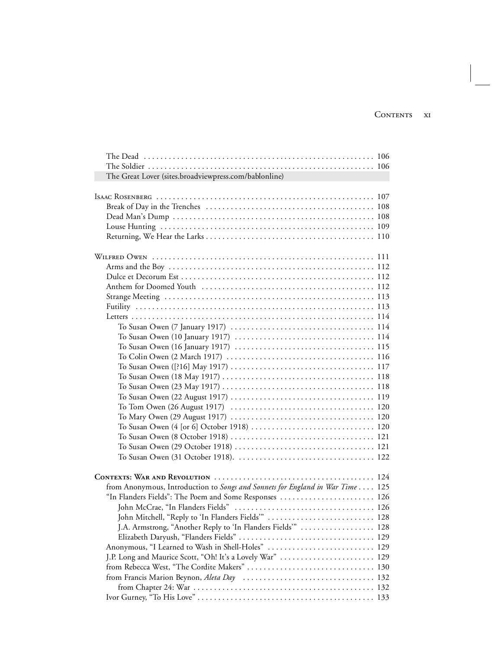| The Great Lover (sites.broadviewpress.com/bablonline)                                                                                    |  |
|------------------------------------------------------------------------------------------------------------------------------------------|--|
|                                                                                                                                          |  |
|                                                                                                                                          |  |
|                                                                                                                                          |  |
|                                                                                                                                          |  |
|                                                                                                                                          |  |
|                                                                                                                                          |  |
|                                                                                                                                          |  |
|                                                                                                                                          |  |
|                                                                                                                                          |  |
|                                                                                                                                          |  |
|                                                                                                                                          |  |
|                                                                                                                                          |  |
|                                                                                                                                          |  |
|                                                                                                                                          |  |
| To Susan Owen (10 January 1917) $\ldots \ldots \ldots \ldots \ldots \ldots \ldots \ldots \ldots \ldots \ldots 114$                       |  |
| To Susan Owen $(16$ January 1917) $\ldots \ldots \ldots \ldots \ldots \ldots \ldots \ldots \ldots \ldots \ldots 115$                     |  |
|                                                                                                                                          |  |
|                                                                                                                                          |  |
|                                                                                                                                          |  |
|                                                                                                                                          |  |
|                                                                                                                                          |  |
|                                                                                                                                          |  |
|                                                                                                                                          |  |
|                                                                                                                                          |  |
|                                                                                                                                          |  |
|                                                                                                                                          |  |
|                                                                                                                                          |  |
|                                                                                                                                          |  |
|                                                                                                                                          |  |
| from Anonymous, Introduction to Songs and Sonnets for England in War Time  125<br>"In Flanders Fields": The Poem and Some Responses  126 |  |
|                                                                                                                                          |  |
| John Mitchell, "Reply to 'In Flanders Fields"                                                                                            |  |
|                                                                                                                                          |  |
| J.A. Armstrong, "Another Reply to 'In Flanders Fields'"  128                                                                             |  |
| Anonymous, "I Learned to Wash in Shell-Holes"  129                                                                                       |  |
| J.P. Long and Maurice Scott, "Oh! It's a Lovely War"  129                                                                                |  |
|                                                                                                                                          |  |
|                                                                                                                                          |  |
|                                                                                                                                          |  |
|                                                                                                                                          |  |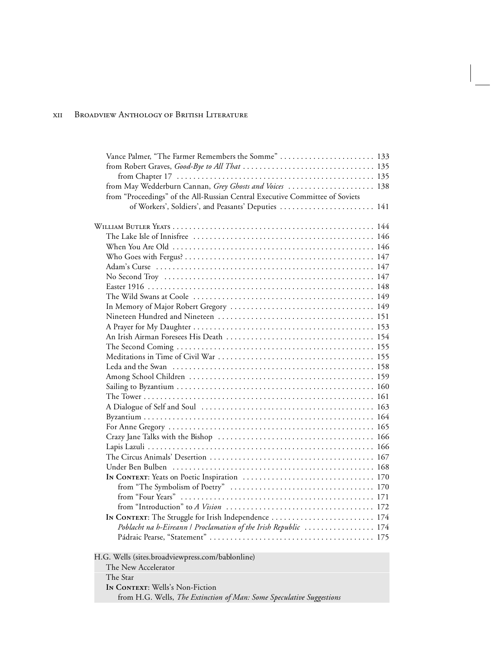| Vance Palmer, "The Farmer Remembers the Somme" 133                           |  |
|------------------------------------------------------------------------------|--|
|                                                                              |  |
|                                                                              |  |
| from May Wedderburn Cannan, Grey Ghosts and Voices  138                      |  |
| from "Proceedings" of the All-Russian Central Executive Committee of Soviets |  |
| of Workers', Soldiers', and Peasants' Deputies  141                          |  |
|                                                                              |  |
|                                                                              |  |
|                                                                              |  |
|                                                                              |  |
|                                                                              |  |
|                                                                              |  |
|                                                                              |  |
|                                                                              |  |
|                                                                              |  |
|                                                                              |  |
|                                                                              |  |
|                                                                              |  |
|                                                                              |  |
|                                                                              |  |
|                                                                              |  |
|                                                                              |  |
|                                                                              |  |
|                                                                              |  |
|                                                                              |  |
|                                                                              |  |
|                                                                              |  |
|                                                                              |  |
|                                                                              |  |
|                                                                              |  |
|                                                                              |  |
|                                                                              |  |
|                                                                              |  |
|                                                                              |  |
|                                                                              |  |
|                                                                              |  |
| In CONTEXT: The Struggle for Irish Independence  174                         |  |
| Poblacht na h-Eireann   Proclamation of the Irish Republic  174              |  |
|                                                                              |  |
|                                                                              |  |
| H.G. Wells (sites.broadviewpress.com/bablonline)                             |  |
| The New Accelerator                                                          |  |
| The Star                                                                     |  |
| IN CONTEXT: Wells's Non-Fiction                                              |  |
| from H.G. Wells, The Extinction of Man: Some Speculative Suggestions         |  |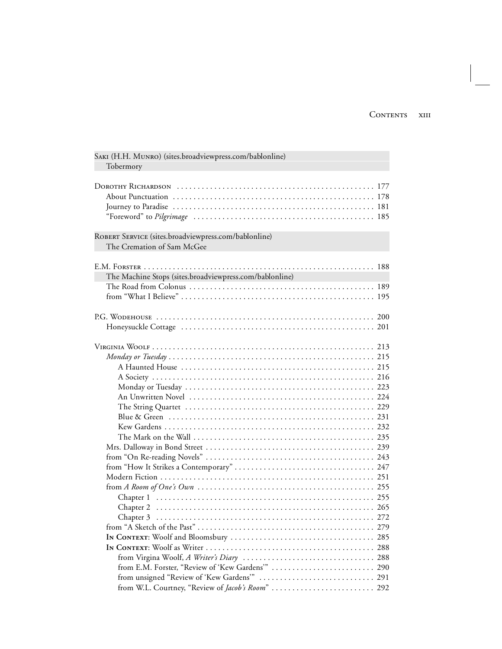| SAKI (H.H. MUNRO) (sites.broadviewpress.com/bablonline)<br>Tobermory               |      |
|------------------------------------------------------------------------------------|------|
|                                                                                    |      |
| ROBERT SERVICE (sites.broadviewpress.com/bablonline)<br>The Cremation of Sam McGee |      |
| The Machine Stops (sites.broadviewpress.com/bablonline)                            |      |
|                                                                                    |      |
|                                                                                    |      |
|                                                                                    |      |
|                                                                                    |      |
|                                                                                    |      |
|                                                                                    |      |
|                                                                                    |      |
|                                                                                    |      |
|                                                                                    |      |
|                                                                                    |      |
|                                                                                    |      |
|                                                                                    |      |
|                                                                                    |      |
|                                                                                    |      |
|                                                                                    |      |
|                                                                                    |      |
|                                                                                    |      |
|                                                                                    |      |
|                                                                                    |      |
|                                                                                    |      |
| $Chapter 3$                                                                        | 2.72 |
|                                                                                    |      |
|                                                                                    |      |
|                                                                                    |      |
|                                                                                    |      |
|                                                                                    |      |
|                                                                                    |      |
|                                                                                    |      |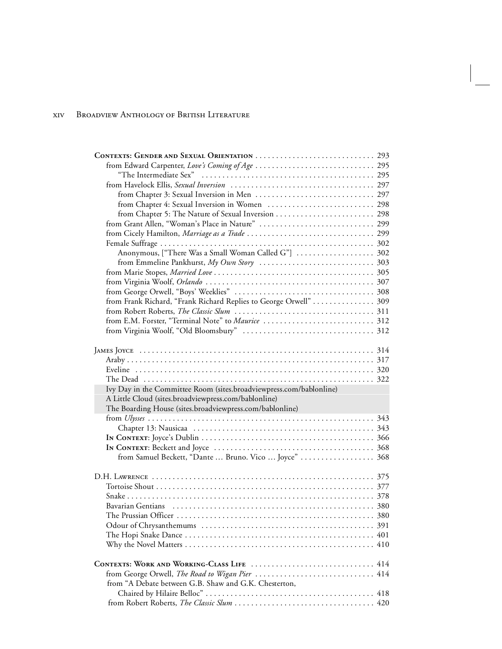| from Chapter 4: Sexual Inversion in Women  298                      |     |
|---------------------------------------------------------------------|-----|
|                                                                     |     |
|                                                                     |     |
|                                                                     |     |
|                                                                     |     |
| Anonymous, ["There Was a Small Woman Called G"]  302                |     |
|                                                                     |     |
|                                                                     |     |
|                                                                     |     |
|                                                                     |     |
| from Frank Richard, "Frank Richard Replies to George Orwell"  309   |     |
|                                                                     |     |
| from E.M. Forster, "Terminal Note" to Maurice  312                  |     |
|                                                                     |     |
|                                                                     |     |
|                                                                     |     |
|                                                                     |     |
|                                                                     |     |
|                                                                     |     |
|                                                                     |     |
|                                                                     |     |
| Ivy Day in the Committee Room (sites.broadviewpress.com/bablonline) |     |
| A Little Cloud (sites.broadviewpress.com/bablonline)                |     |
| The Boarding House (sites.broadviewpress.com/bablonline)            |     |
|                                                                     |     |
|                                                                     |     |
|                                                                     |     |
|                                                                     |     |
| from Samuel Beckett, "Dante  Bruno. Vico  Joyce" 368                |     |
|                                                                     |     |
|                                                                     |     |
|                                                                     |     |
|                                                                     |     |
|                                                                     |     |
|                                                                     |     |
|                                                                     |     |
|                                                                     | 401 |
|                                                                     | 410 |
|                                                                     |     |
|                                                                     |     |
| from George Orwell, The Road to Wigan Pier                          | 414 |
| from "A Debate between G.B. Shaw and G.K. Chesterton,               |     |
|                                                                     |     |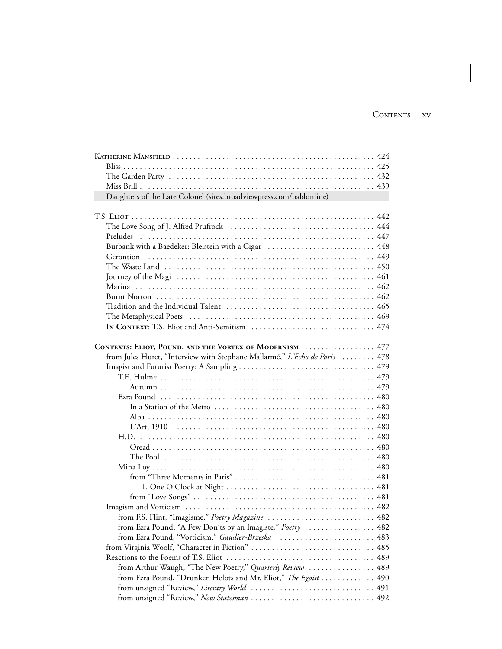| Daughters of the Late Colonel (sites.broadviewpress.com/bablonline)                                               |  |
|-------------------------------------------------------------------------------------------------------------------|--|
|                                                                                                                   |  |
|                                                                                                                   |  |
|                                                                                                                   |  |
|                                                                                                                   |  |
| Burbank with a Baedeker: Bleistein with a Cigar  448                                                              |  |
|                                                                                                                   |  |
|                                                                                                                   |  |
|                                                                                                                   |  |
|                                                                                                                   |  |
|                                                                                                                   |  |
|                                                                                                                   |  |
|                                                                                                                   |  |
|                                                                                                                   |  |
| CONTEXTS: ELIOT, POUND, AND THE VORTEX OF MODERNISM  477                                                          |  |
| from Jules Huret, "Interview with Stephane Mallarmé," L'Echo de Paris  478                                        |  |
|                                                                                                                   |  |
|                                                                                                                   |  |
|                                                                                                                   |  |
|                                                                                                                   |  |
|                                                                                                                   |  |
|                                                                                                                   |  |
|                                                                                                                   |  |
|                                                                                                                   |  |
|                                                                                                                   |  |
|                                                                                                                   |  |
|                                                                                                                   |  |
|                                                                                                                   |  |
|                                                                                                                   |  |
|                                                                                                                   |  |
|                                                                                                                   |  |
| from F.S. Flint, "Imagisme," Poetry Magazine  482                                                                 |  |
| from Ezra Pound, "A Few Don'ts by an Imagiste," Poetry  482<br>from Ezra Pound, "Vorticism," Gaudier-Brzeska  483 |  |
| from Virginia Woolf, "Character in Fiction"  485                                                                  |  |
|                                                                                                                   |  |
| from Arthur Waugh, "The New Poetry," Quarterly Review  489                                                        |  |
| from Ezra Pound, "Drunken Helots and Mr. Eliot," The Egoist  490                                                  |  |
|                                                                                                                   |  |
| from unsigned "Review," New Statesman  492                                                                        |  |
|                                                                                                                   |  |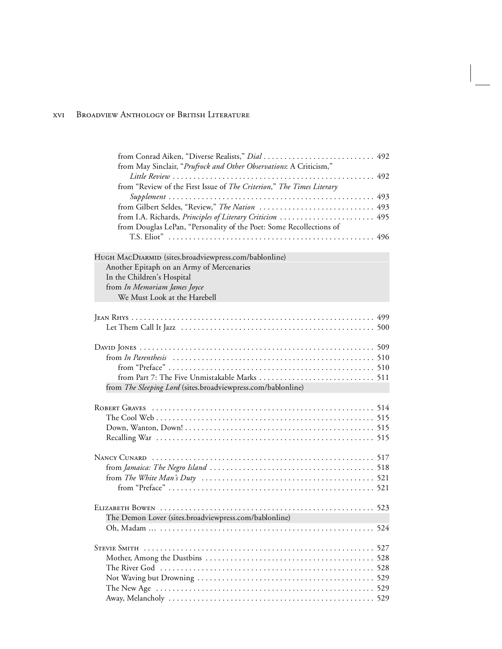| from May Sinclair, "Prufrock and Other Observations: A Criticism,"                                                                                                                               |  |
|--------------------------------------------------------------------------------------------------------------------------------------------------------------------------------------------------|--|
| from "Review of the First Issue of The Criterion," The Times Literary                                                                                                                            |  |
| from Gilbert Seldes, "Review," The Nation  493<br>from I.A. Richards, <i>Principles of Literary Criticism</i> 495<br>from Douglas LePan, "Personality of the Poet: Some Recollections of         |  |
|                                                                                                                                                                                                  |  |
| HUGH MACDIARMID (sites.broadviewpress.com/bablonline)<br>Another Epitaph on an Army of Mercenaries<br>In the Children's Hospital<br>from In Memoriam James Joyce<br>We Must Look at the Harebell |  |
|                                                                                                                                                                                                  |  |
| from The Sleeping Lord (sites.broadviewpress.com/bablonline)                                                                                                                                     |  |
|                                                                                                                                                                                                  |  |
|                                                                                                                                                                                                  |  |
| from The White Man's Duty $\ldots \ldots \ldots \ldots \ldots \ldots \ldots \ldots \ldots \ldots \ldots \ldots \ldots 521$                                                                       |  |
|                                                                                                                                                                                                  |  |
|                                                                                                                                                                                                  |  |
|                                                                                                                                                                                                  |  |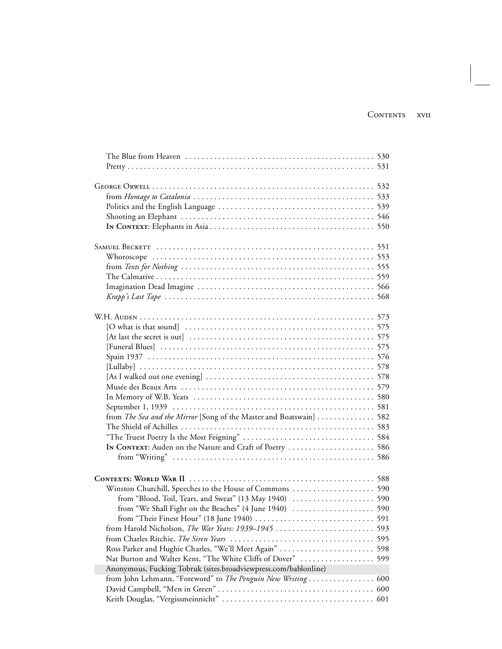| The Blue from Heaven $\dots\dots\dots\dots\dots\dots\dots\dots\dots\dots\dots\dots\dots\dots\dots$ 530 |  |
|--------------------------------------------------------------------------------------------------------|--|
|                                                                                                        |  |
|                                                                                                        |  |
|                                                                                                        |  |
|                                                                                                        |  |
|                                                                                                        |  |
|                                                                                                        |  |
|                                                                                                        |  |
|                                                                                                        |  |
|                                                                                                        |  |
|                                                                                                        |  |
|                                                                                                        |  |
|                                                                                                        |  |
|                                                                                                        |  |
|                                                                                                        |  |
|                                                                                                        |  |
|                                                                                                        |  |
|                                                                                                        |  |
|                                                                                                        |  |
|                                                                                                        |  |
|                                                                                                        |  |
|                                                                                                        |  |
|                                                                                                        |  |
|                                                                                                        |  |
|                                                                                                        |  |
|                                                                                                        |  |
| from The Sea and the Mirror [Song of the Master and Boatswain]  582                                    |  |
|                                                                                                        |  |
|                                                                                                        |  |
|                                                                                                        |  |
|                                                                                                        |  |
|                                                                                                        |  |
|                                                                                                        |  |
|                                                                                                        |  |
|                                                                                                        |  |
|                                                                                                        |  |
|                                                                                                        |  |
|                                                                                                        |  |
|                                                                                                        |  |
| Ross Parker and Hughie Charles, "We'll Meet Again"  598                                                |  |
| Nat Burton and Walter Kent, "The White Cliffs of Dover"  599                                           |  |
|                                                                                                        |  |
| Anonymous, Fucking Tobruk (sites.broadviewpress.com/bablonline)                                        |  |
|                                                                                                        |  |
|                                                                                                        |  |
|                                                                                                        |  |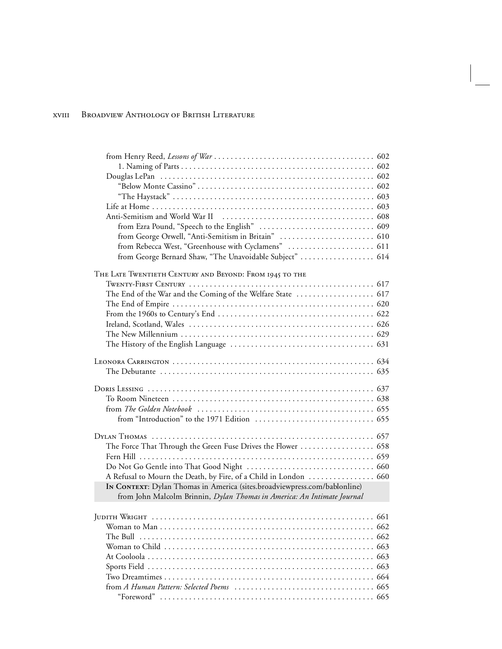| from Rebecca West, "Greenhouse with Cyclamens"  611                       |  |
|---------------------------------------------------------------------------|--|
| from George Bernard Shaw, "The Unavoidable Subject"  614                  |  |
| THE LATE TWENTIETH CENTURY AND BEYOND: FROM 1945 TO THE                   |  |
|                                                                           |  |
|                                                                           |  |
|                                                                           |  |
|                                                                           |  |
|                                                                           |  |
|                                                                           |  |
|                                                                           |  |
|                                                                           |  |
|                                                                           |  |
|                                                                           |  |
|                                                                           |  |
|                                                                           |  |
|                                                                           |  |
| The Force That Through the Green Fuse Drives the Flower  658              |  |
|                                                                           |  |
|                                                                           |  |
| A Refusal to Mourn the Death, by Fire, of a Child in London  660          |  |
| IN CONTEXT: Dylan Thomas in America (sites.broadviewpress.com/bablonline) |  |
| from John Malcolm Brinnin, Dylan Thomas in America: An Intimate Journal   |  |
|                                                                           |  |
|                                                                           |  |
|                                                                           |  |
|                                                                           |  |
|                                                                           |  |
|                                                                           |  |
|                                                                           |  |
|                                                                           |  |
|                                                                           |  |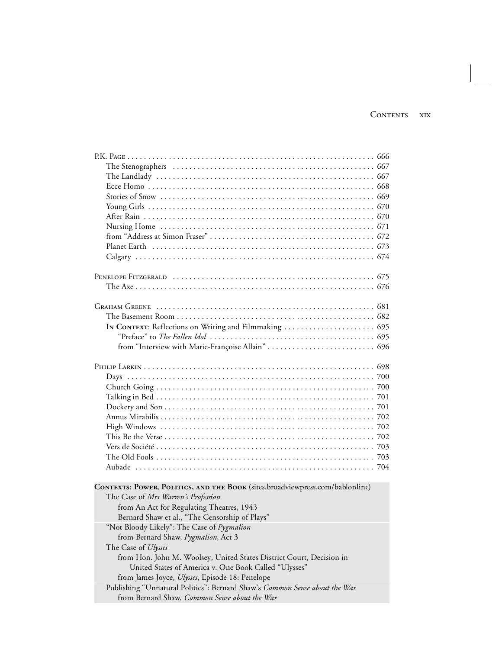| In CONTEXT: Reflections on Writing and Filmmaking  695                        |  |
|-------------------------------------------------------------------------------|--|
|                                                                               |  |
|                                                                               |  |
|                                                                               |  |
|                                                                               |  |
|                                                                               |  |
|                                                                               |  |
|                                                                               |  |
|                                                                               |  |
|                                                                               |  |
|                                                                               |  |
|                                                                               |  |
|                                                                               |  |
|                                                                               |  |
|                                                                               |  |
|                                                                               |  |
| CONTEXTS: POWER, POLITICS, AND THE BOOK (sites.broadviewpress.com/bablonline) |  |
| The Case of Mrs Warren's Profession                                           |  |
| from An Act for Regulating Theatres, 1943                                     |  |
| Bernard Shaw et al., "The Censorship of Plays"                                |  |
| "Not Bloody Likely": The Case of Pygmalion                                    |  |
| from Bernard Shaw, Pygmalion, Act 3                                           |  |
| The Case of Ulysses                                                           |  |
| from Hon. John M. Woolsey, United States District Court, Decision in          |  |
| United States of America v. One Book Called "Ulysses"                         |  |
| from James Joyce, Ulysses, Episode 18: Penelope                               |  |
| Publishing "Unnatural Politics": Bernard Shaw's Common Sense about the War    |  |
| from Bernard Shaw, Common Sense about the War                                 |  |
|                                                                               |  |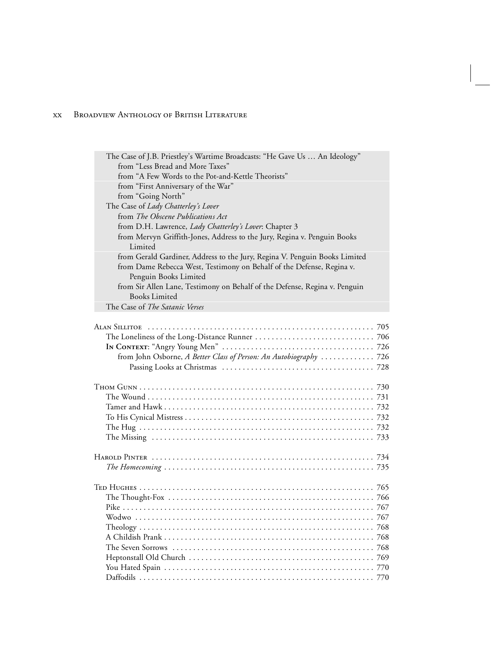| The Case of J.B. Priestley's Wartime Broadcasts: "He Gave Us  An Ideology"                                                                                                   |  |
|------------------------------------------------------------------------------------------------------------------------------------------------------------------------------|--|
| from "Less Bread and More Taxes"                                                                                                                                             |  |
| from "A Few Words to the Pot-and-Kettle Theorists"                                                                                                                           |  |
| from "First Anniversary of the War"                                                                                                                                          |  |
| from "Going North"                                                                                                                                                           |  |
| The Case of Lady Chatterley's Lover                                                                                                                                          |  |
| from The Obscene Publications Act                                                                                                                                            |  |
| from D.H. Lawrence, Lady Chatterley's Lover: Chapter 3                                                                                                                       |  |
| from Mervyn Griffith-Jones, Address to the Jury, Regina v. Penguin Books<br>Limited                                                                                          |  |
| from Gerald Gardiner, Address to the Jury, Regina V. Penguin Books Limited<br>from Dame Rebecca West, Testimony on Behalf of the Defense, Regina v.<br>Penguin Books Limited |  |
| from Sir Allen Lane, Testimony on Behalf of the Defense, Regina v. Penguin                                                                                                   |  |
| <b>Books Limited</b>                                                                                                                                                         |  |
| The Case of The Satanic Verses                                                                                                                                               |  |
|                                                                                                                                                                              |  |
|                                                                                                                                                                              |  |
|                                                                                                                                                                              |  |
|                                                                                                                                                                              |  |
| from John Osborne, A Better Class of Person: An Autobiography  726                                                                                                           |  |
|                                                                                                                                                                              |  |
|                                                                                                                                                                              |  |
|                                                                                                                                                                              |  |
|                                                                                                                                                                              |  |
|                                                                                                                                                                              |  |
|                                                                                                                                                                              |  |
|                                                                                                                                                                              |  |
|                                                                                                                                                                              |  |
|                                                                                                                                                                              |  |
|                                                                                                                                                                              |  |
|                                                                                                                                                                              |  |
|                                                                                                                                                                              |  |
|                                                                                                                                                                              |  |
|                                                                                                                                                                              |  |
|                                                                                                                                                                              |  |
|                                                                                                                                                                              |  |
|                                                                                                                                                                              |  |
|                                                                                                                                                                              |  |
|                                                                                                                                                                              |  |
|                                                                                                                                                                              |  |
|                                                                                                                                                                              |  |
|                                                                                                                                                                              |  |

Daffodils ................. ................. ................. ...... 770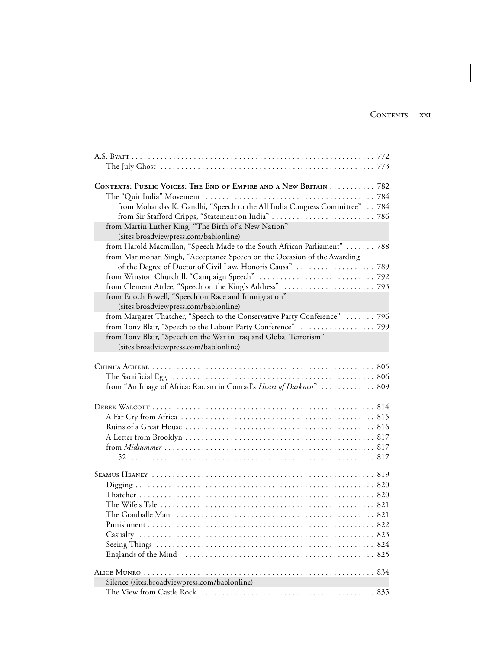| CONTEXTS: PUBLIC VOICES: THE END OF EMPIRE AND A NEW BRITAIN  782          |  |
|----------------------------------------------------------------------------|--|
|                                                                            |  |
| from Mohandas K. Gandhi, "Speech to the All India Congress Committee" 784  |  |
|                                                                            |  |
| from Martin Luther King, "The Birth of a New Nation"                       |  |
| (sites.broadviewpress.com/bablonline)                                      |  |
| from Harold Macmillan, "Speech Made to the South African Parliament"  788  |  |
| from Manmohan Singh, "Acceptance Speech on the Occasion of the Awarding    |  |
|                                                                            |  |
|                                                                            |  |
|                                                                            |  |
| from Enoch Powell, "Speech on Race and Immigration"                        |  |
| (sites.broadviewpress.com/bablonline)                                      |  |
| from Margaret Thatcher, "Speech to the Conservative Party Conference"  796 |  |
| from Tony Blair, "Speech to the Labour Party Conference"  799              |  |
| from Tony Blair, "Speech on the War in Iraq and Global Terrorism"          |  |
| (sites.broadviewpress.com/bablonline)                                      |  |
| from "An Image of Africa: Racism in Conrad's Heart of Darkness"  809       |  |
|                                                                            |  |
|                                                                            |  |
|                                                                            |  |
|                                                                            |  |
|                                                                            |  |
|                                                                            |  |
|                                                                            |  |
|                                                                            |  |
|                                                                            |  |
|                                                                            |  |
|                                                                            |  |
| Silence (sites.broadviewpress.com/bablonline)                              |  |
|                                                                            |  |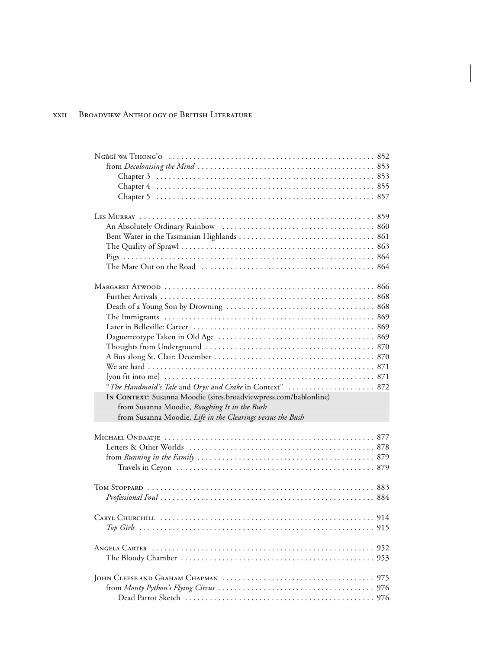| "The Handmaid's Tale and Oryx and Crake in Context"  872         |     |
|------------------------------------------------------------------|-----|
| IN CONTEXT: Susanna Moodie (sites.broadviewpress.com/bablonline) |     |
| from Susanna Moodie, Roughing It in the Bush                     |     |
| from Susanna Moodie, Life in the Clearings versus the Bush       |     |
|                                                                  |     |
|                                                                  |     |
|                                                                  |     |
|                                                                  |     |
|                                                                  |     |
|                                                                  |     |
|                                                                  |     |
|                                                                  |     |
|                                                                  |     |
| CARYL CHURCHILL                                                  | 914 |
|                                                                  |     |
|                                                                  |     |
|                                                                  |     |
|                                                                  |     |
|                                                                  |     |
|                                                                  |     |
|                                                                  | 976 |
|                                                                  |     |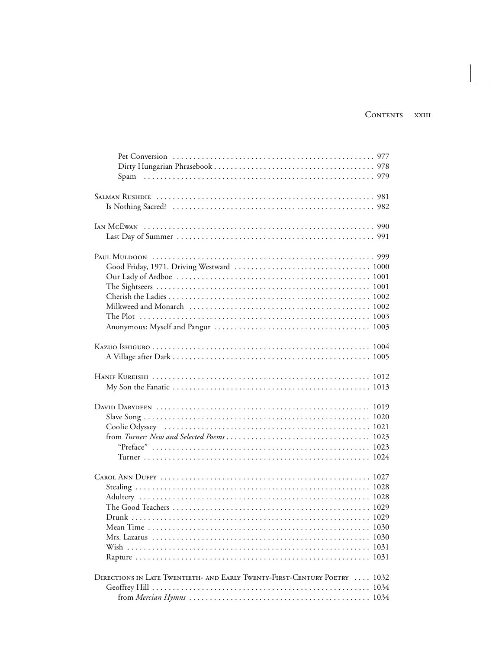| Drunk                                                                     |      |
|---------------------------------------------------------------------------|------|
|                                                                           |      |
|                                                                           |      |
|                                                                           |      |
|                                                                           |      |
|                                                                           |      |
| DIRECTIONS IN LATE TWENTIETH- AND EARLY TWENTY-FIRST-CENTURY POETRY  1032 |      |
|                                                                           | 1034 |
|                                                                           |      |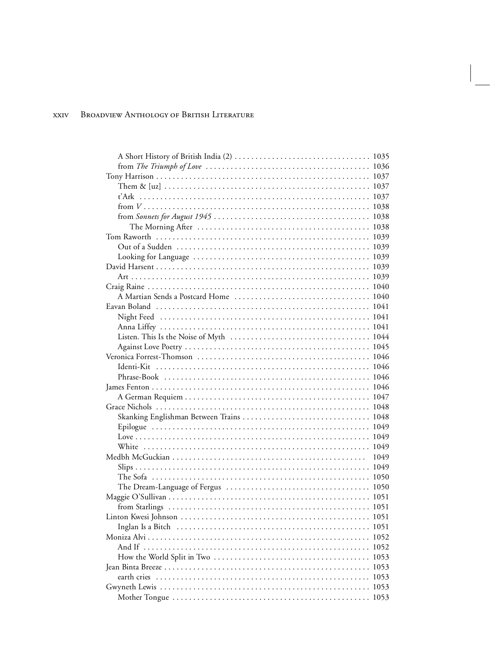| from The Triumph of Love $\ldots \ldots \ldots \ldots \ldots \ldots \ldots \ldots \ldots \ldots \ldots \ldots 1036$ |      |
|---------------------------------------------------------------------------------------------------------------------|------|
|                                                                                                                     |      |
|                                                                                                                     |      |
|                                                                                                                     |      |
|                                                                                                                     |      |
|                                                                                                                     |      |
|                                                                                                                     |      |
|                                                                                                                     |      |
|                                                                                                                     |      |
|                                                                                                                     |      |
|                                                                                                                     |      |
|                                                                                                                     |      |
|                                                                                                                     |      |
|                                                                                                                     |      |
|                                                                                                                     |      |
|                                                                                                                     |      |
|                                                                                                                     |      |
|                                                                                                                     |      |
|                                                                                                                     |      |
|                                                                                                                     |      |
|                                                                                                                     |      |
|                                                                                                                     |      |
|                                                                                                                     |      |
|                                                                                                                     |      |
|                                                                                                                     |      |
|                                                                                                                     |      |
|                                                                                                                     |      |
|                                                                                                                     |      |
|                                                                                                                     |      |
|                                                                                                                     | 1049 |
|                                                                                                                     |      |
|                                                                                                                     |      |
|                                                                                                                     |      |
|                                                                                                                     |      |
|                                                                                                                     |      |
|                                                                                                                     |      |
|                                                                                                                     |      |
|                                                                                                                     |      |
|                                                                                                                     |      |
|                                                                                                                     |      |
|                                                                                                                     |      |
|                                                                                                                     |      |
|                                                                                                                     |      |
|                                                                                                                     |      |
|                                                                                                                     |      |